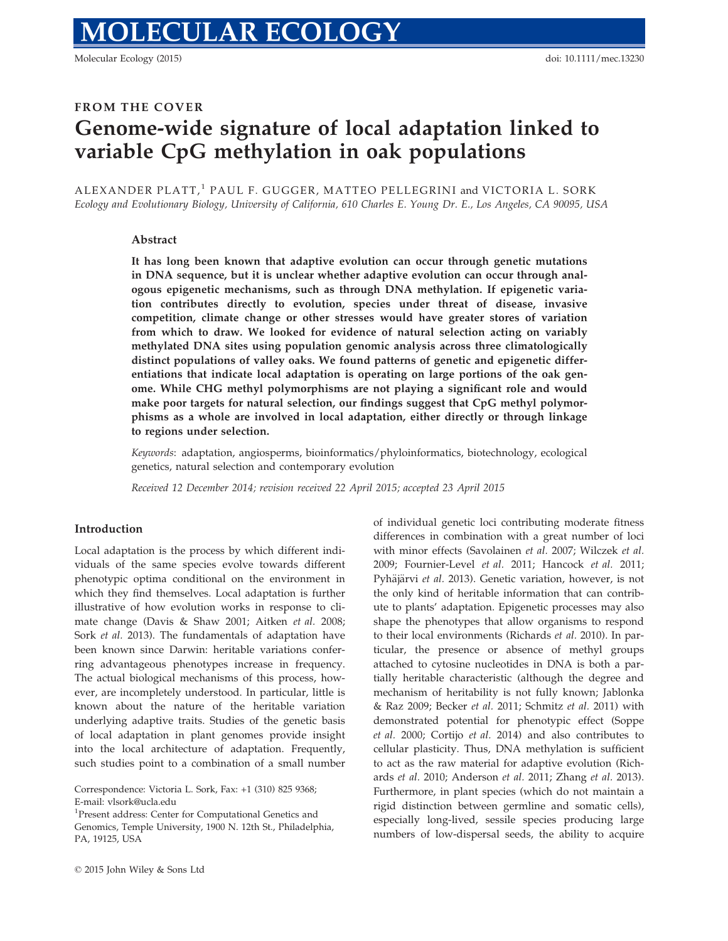# FROM THE COVER Genome-wide signature of local adaptation linked to variable CpG methylation in oak populations

ALEXANDER PLATT,<sup>1</sup> PAUL F. GUGGER, MATTEO PELLEGRINI and VICTORIA L. SORK Ecology and Evolutionary Biology, University of California, 610 Charles E. Young Dr. E., Los Angeles, CA 90095, USA

# Abstract

It has long been known that adaptive evolution can occur through genetic mutations in DNA sequence, but it is unclear whether adaptive evolution can occur through analogous epigenetic mechanisms, such as through DNA methylation. If epigenetic variation contributes directly to evolution, species under threat of disease, invasive competition, climate change or other stresses would have greater stores of variation from which to draw. We looked for evidence of natural selection acting on variably methylated DNA sites using population genomic analysis across three climatologically distinct populations of valley oaks. We found patterns of genetic and epigenetic differentiations that indicate local adaptation is operating on large portions of the oak genome. While CHG methyl polymorphisms are not playing a significant role and would make poor targets for natural selection, our findings suggest that CpG methyl polymorphisms as a whole are involved in local adaptation, either directly or through linkage to regions under selection.

Keywords: adaptation, angiosperms, bioinformatics/phyloinformatics, biotechnology, ecological genetics, natural selection and contemporary evolution

Received 12 December 2014; revision received 22 April 2015; accepted 23 April 2015

### Introduction

Local adaptation is the process by which different individuals of the same species evolve towards different phenotypic optima conditional on the environment in which they find themselves. Local adaptation is further illustrative of how evolution works in response to climate change (Davis & Shaw 2001; Aitken et al. 2008; Sork et al. 2013). The fundamentals of adaptation have been known since Darwin: heritable variations conferring advantageous phenotypes increase in frequency. The actual biological mechanisms of this process, however, are incompletely understood. In particular, little is known about the nature of the heritable variation underlying adaptive traits. Studies of the genetic basis of local adaptation in plant genomes provide insight into the local architecture of adaptation. Frequently, such studies point to a combination of a small number

Correspondence: Victoria L. Sork, Fax: +1 (310) 825 9368; E-mail: vlsork@ucla.edu

<sup>1</sup> Present address: Center for Computational Genetics and

Genomics, Temple University, 1900 N. 12th St., Philadelphia, PA, 19125, USA

of individual genetic loci contributing moderate fitness differences in combination with a great number of loci with minor effects (Savolainen et al. 2007; Wilczek et al. 2009; Fournier-Level et al. 2011; Hancock et al. 2011; Pyhäjärvi et al. 2013). Genetic variation, however, is not the only kind of heritable information that can contribute to plants' adaptation. Epigenetic processes may also shape the phenotypes that allow organisms to respond to their local environments (Richards et al. 2010). In particular, the presence or absence of methyl groups attached to cytosine nucleotides in DNA is both a partially heritable characteristic (although the degree and mechanism of heritability is not fully known; Jablonka & Raz 2009; Becker et al. 2011; Schmitz et al. 2011) with demonstrated potential for phenotypic effect (Soppe et al. 2000; Cortijo et al. 2014) and also contributes to cellular plasticity. Thus, DNA methylation is sufficient to act as the raw material for adaptive evolution (Richards et al. 2010; Anderson et al. 2011; Zhang et al. 2013). Furthermore, in plant species (which do not maintain a rigid distinction between germline and somatic cells), especially long-lived, sessile species producing large numbers of low-dispersal seeds, the ability to acquire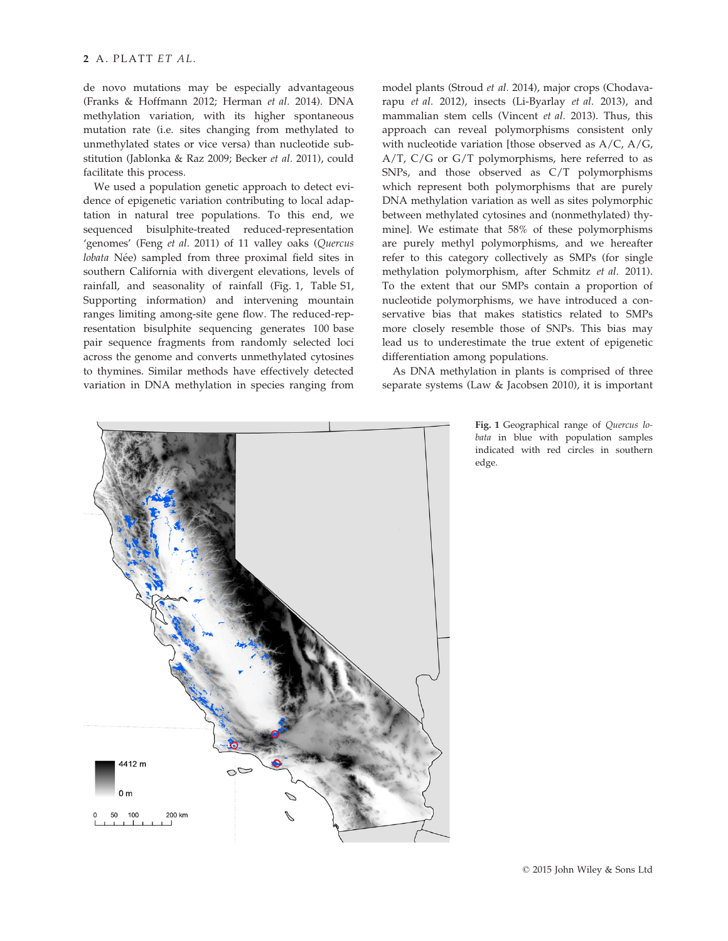# 2 A. PLATT ET AL.

de novo mutations may be especially advantageous (Franks & Hoffmann 2012; Herman et al. 2014). DNA methylation variation, with its higher spontaneous mutation rate (i.e. sites changing from methylated to unmethylated states or vice versa) than nucleotide substitution (Jablonka & Raz 2009; Becker et al. 2011), could facilitate this process.

We used a population genetic approach to detect evidence of epigenetic variation contributing to local adaptation in natural tree populations. To this end, we sequenced bisulphite-treated reduced-representation 'genomes' (Feng et al. 2011) of 11 valley oaks (Quercus lobata Née) sampled from three proximal field sites in southern California with divergent elevations, levels of rainfall, and seasonality of rainfall (Fig. 1, Table S1, Supporting information) and intervening mountain ranges limiting among-site gene flow. The reduced-representation bisulphite sequencing generates 100 base pair sequence fragments from randomly selected loci across the genome and converts unmethylated cytosines to thymines. Similar methods have effectively detected variation in DNA methylation in species ranging from

model plants (Stroud et al. 2014), major crops (Chodavarapu et al. 2012), insects (Li-Byarlay et al. 2013), and mammalian stem cells (Vincent et al. 2013). Thus, this approach can reveal polymorphisms consistent only with nucleotide variation [those observed as A/C, A/G, A/T, C/G or G/T polymorphisms, here referred to as SNPs, and those observed as C/T polymorphisms which represent both polymorphisms that are purely DNA methylation variation as well as sites polymorphic between methylated cytosines and (nonmethylated) thymine]. We estimate that 58% of these polymorphisms are purely methyl polymorphisms, and we hereafter refer to this category collectively as SMPs (for single methylation polymorphism, after Schmitz et al. 2011). To the extent that our SMPs contain a proportion of nucleotide polymorphisms, we have introduced a conservative bias that makes statistics related to SMPs more closely resemble those of SNPs. This bias may lead us to underestimate the true extent of epigenetic differentiation among populations.

As DNA methylation in plants is comprised of three separate systems (Law & Jacobsen 2010), it is important



Fig. 1 Geographical range of Quercus lobata in blue with population samples indicated with red circles in southern edge.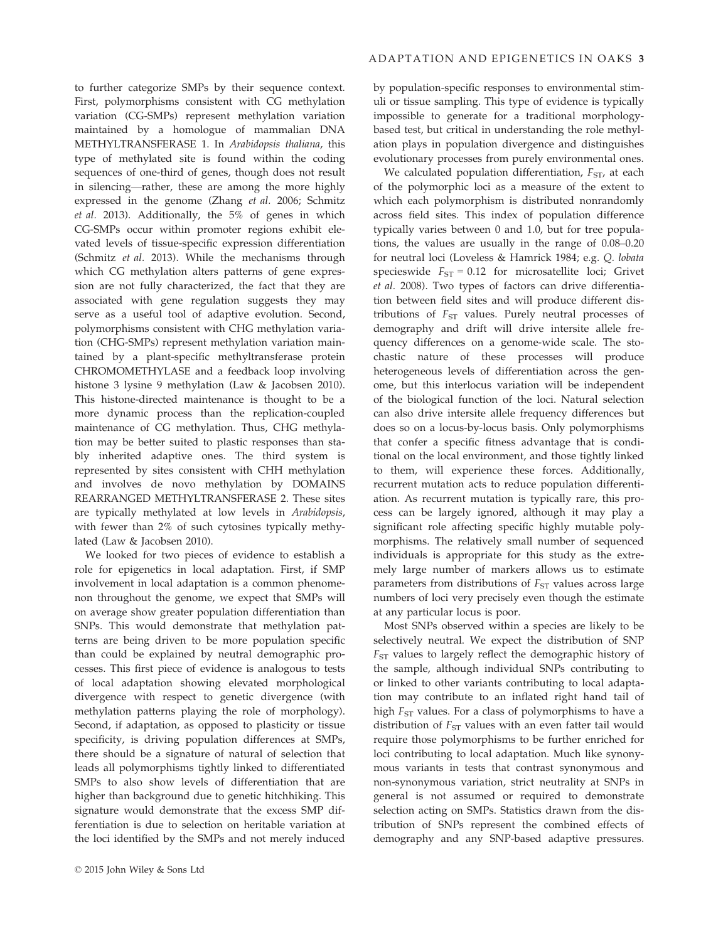to further categorize SMPs by their sequence context. First, polymorphisms consistent with CG methylation variation (CG-SMPs) represent methylation variation maintained by a homologue of mammalian DNA METHYLTRANSFERASE 1. In Arabidopsis thaliana, this type of methylated site is found within the coding sequences of one-third of genes, though does not result in silencing—rather, these are among the more highly expressed in the genome (Zhang et al. 2006; Schmitz et al. 2013). Additionally, the 5% of genes in which CG-SMPs occur within promoter regions exhibit elevated levels of tissue-specific expression differentiation (Schmitz et al. 2013). While the mechanisms through which CG methylation alters patterns of gene expression are not fully characterized, the fact that they are associated with gene regulation suggests they may serve as a useful tool of adaptive evolution. Second, polymorphisms consistent with CHG methylation variation (CHG-SMPs) represent methylation variation maintained by a plant-specific methyltransferase protein CHROMOMETHYLASE and a feedback loop involving histone 3 lysine 9 methylation (Law & Jacobsen 2010). This histone-directed maintenance is thought to be a more dynamic process than the replication-coupled maintenance of CG methylation. Thus, CHG methylation may be better suited to plastic responses than stably inherited adaptive ones. The third system is represented by sites consistent with CHH methylation and involves de novo methylation by DOMAINS REARRANGED METHYLTRANSFERASE 2. These sites are typically methylated at low levels in Arabidopsis, with fewer than 2% of such cytosines typically methylated (Law & Jacobsen 2010).

We looked for two pieces of evidence to establish a role for epigenetics in local adaptation. First, if SMP involvement in local adaptation is a common phenomenon throughout the genome, we expect that SMPs will on average show greater population differentiation than SNPs. This would demonstrate that methylation patterns are being driven to be more population specific than could be explained by neutral demographic processes. This first piece of evidence is analogous to tests of local adaptation showing elevated morphological divergence with respect to genetic divergence (with methylation patterns playing the role of morphology). Second, if adaptation, as opposed to plasticity or tissue specificity, is driving population differences at SMPs, there should be a signature of natural of selection that leads all polymorphisms tightly linked to differentiated SMPs to also show levels of differentiation that are higher than background due to genetic hitchhiking. This signature would demonstrate that the excess SMP differentiation is due to selection on heritable variation at the loci identified by the SMPs and not merely induced by population-specific responses to environmental stimuli or tissue sampling. This type of evidence is typically impossible to generate for a traditional morphologybased test, but critical in understanding the role methylation plays in population divergence and distinguishes evolutionary processes from purely environmental ones.

We calculated population differentiation,  $F_{ST}$ , at each of the polymorphic loci as a measure of the extent to which each polymorphism is distributed nonrandomly across field sites. This index of population difference typically varies between 0 and 1.0, but for tree populations, the values are usually in the range of 0.08–0.20 for neutral loci (Loveless & Hamrick 1984; e.g. Q. lobata specieswide  $F_{ST} = 0.12$  for microsatellite loci; Grivet et al. 2008). Two types of factors can drive differentiation between field sites and will produce different distributions of  $F_{ST}$  values. Purely neutral processes of demography and drift will drive intersite allele frequency differences on a genome-wide scale. The stochastic nature of these processes will produce heterogeneous levels of differentiation across the genome, but this interlocus variation will be independent of the biological function of the loci. Natural selection can also drive intersite allele frequency differences but does so on a locus-by-locus basis. Only polymorphisms that confer a specific fitness advantage that is conditional on the local environment, and those tightly linked to them, will experience these forces. Additionally, recurrent mutation acts to reduce population differentiation. As recurrent mutation is typically rare, this process can be largely ignored, although it may play a significant role affecting specific highly mutable polymorphisms. The relatively small number of sequenced individuals is appropriate for this study as the extremely large number of markers allows us to estimate parameters from distributions of  $F_{ST}$  values across large numbers of loci very precisely even though the estimate at any particular locus is poor.

Most SNPs observed within a species are likely to be selectively neutral. We expect the distribution of SNP  $F<sub>ST</sub>$  values to largely reflect the demographic history of the sample, although individual SNPs contributing to or linked to other variants contributing to local adaptation may contribute to an inflated right hand tail of high  $F_{ST}$  values. For a class of polymorphisms to have a distribution of  $F_{ST}$  values with an even fatter tail would require those polymorphisms to be further enriched for loci contributing to local adaptation. Much like synonymous variants in tests that contrast synonymous and non-synonymous variation, strict neutrality at SNPs in general is not assumed or required to demonstrate selection acting on SMPs. Statistics drawn from the distribution of SNPs represent the combined effects of demography and any SNP-based adaptive pressures.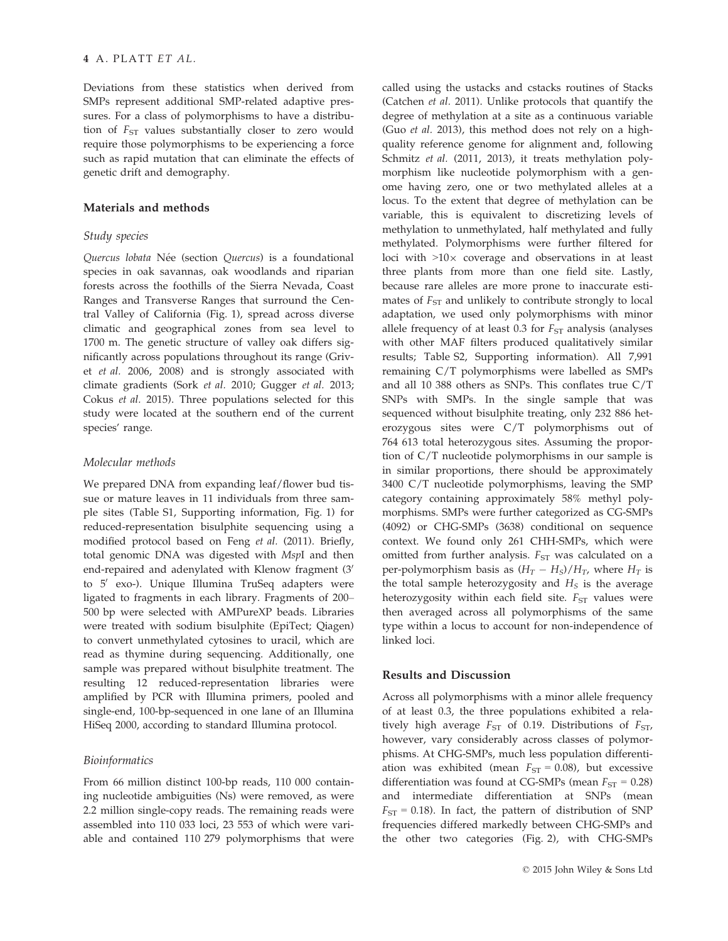Deviations from these statistics when derived from SMPs represent additional SMP-related adaptive pressures. For a class of polymorphisms to have a distribution of  $F_{ST}$  values substantially closer to zero would require those polymorphisms to be experiencing a force such as rapid mutation that can eliminate the effects of genetic drift and demography.

## Materials and methods

#### Study species

Quercus lobata Née (section Quercus) is a foundational species in oak savannas, oak woodlands and riparian forests across the foothills of the Sierra Nevada, Coast Ranges and Transverse Ranges that surround the Central Valley of California (Fig. 1), spread across diverse climatic and geographical zones from sea level to 1700 m. The genetic structure of valley oak differs significantly across populations throughout its range (Grivet et al. 2006, 2008) and is strongly associated with climate gradients (Sork et al. 2010; Gugger et al. 2013; Cokus et al. 2015). Three populations selected for this study were located at the southern end of the current species' range.

#### Molecular methods

We prepared DNA from expanding leaf/flower bud tissue or mature leaves in 11 individuals from three sample sites (Table S1, Supporting information, Fig. 1) for reduced-representation bisulphite sequencing using a modified protocol based on Feng et al. (2011). Briefly, total genomic DNA was digested with MspI and then end-repaired and adenylated with Klenow fragment (3' to 5' exo-). Unique Illumina TruSeq adapters were ligated to fragments in each library. Fragments of 200– 500 bp were selected with AMPureXP beads. Libraries were treated with sodium bisulphite (EpiTect; Qiagen) to convert unmethylated cytosines to uracil, which are read as thymine during sequencing. Additionally, one sample was prepared without bisulphite treatment. The resulting 12 reduced-representation libraries were amplified by PCR with Illumina primers, pooled and single-end, 100-bp-sequenced in one lane of an Illumina HiSeq 2000, according to standard Illumina protocol.

## Bioinformatics

From 66 million distinct 100-bp reads, 110 000 containing nucleotide ambiguities (Ns) were removed, as were 2.2 million single-copy reads. The remaining reads were assembled into 110 033 loci, 23 553 of which were variable and contained 110 279 polymorphisms that were

called using the ustacks and cstacks routines of Stacks (Catchen et al. 2011). Unlike protocols that quantify the degree of methylation at a site as a continuous variable (Guo et al. 2013), this method does not rely on a highquality reference genome for alignment and, following Schmitz et al. (2011, 2013), it treats methylation polymorphism like nucleotide polymorphism with a genome having zero, one or two methylated alleles at a locus. To the extent that degree of methylation can be variable, this is equivalent to discretizing levels of methylation to unmethylated, half methylated and fully methylated. Polymorphisms were further filtered for loci with  $>10\times$  coverage and observations in at least three plants from more than one field site. Lastly, because rare alleles are more prone to inaccurate estimates of  $F_{ST}$  and unlikely to contribute strongly to local adaptation, we used only polymorphisms with minor allele frequency of at least 0.3 for  $F_{ST}$  analysis (analyses with other MAF filters produced qualitatively similar results; Table S2, Supporting information). All 7,991 remaining C/T polymorphisms were labelled as SMPs and all 10 388 others as SNPs. This conflates true C/T SNPs with SMPs. In the single sample that was sequenced without bisulphite treating, only 232 886 heterozygous sites were C/T polymorphisms out of 764 613 total heterozygous sites. Assuming the proportion of C/T nucleotide polymorphisms in our sample is in similar proportions, there should be approximately 3400 C/T nucleotide polymorphisms, leaving the SMP category containing approximately 58% methyl polymorphisms. SMPs were further categorized as CG-SMPs (4092) or CHG-SMPs (3638) conditional on sequence context. We found only 261 CHH-SMPs, which were omitted from further analysis.  $F_{ST}$  was calculated on a per-polymorphism basis as  $(H_T - H_S)/H_T$ , where  $H_T$  is the total sample heterozygosity and  $H<sub>S</sub>$  is the average heterozygosity within each field site.  $F_{ST}$  values were then averaged across all polymorphisms of the same type within a locus to account for non-independence of linked loci.

### Results and Discussion

Across all polymorphisms with a minor allele frequency of at least 0.3, the three populations exhibited a relatively high average  $F_{ST}$  of 0.19. Distributions of  $F_{ST}$ , however, vary considerably across classes of polymorphisms. At CHG-SMPs, much less population differentiation was exhibited (mean  $F_{ST} = 0.08$ ), but excessive differentiation was found at CG-SMPs (mean  $F_{ST}$  = 0.28) and intermediate differentiation at SNPs (mean  $F_{ST}$  = 0.18). In fact, the pattern of distribution of SNP frequencies differed markedly between CHG-SMPs and the other two categories (Fig. 2), with CHG-SMPs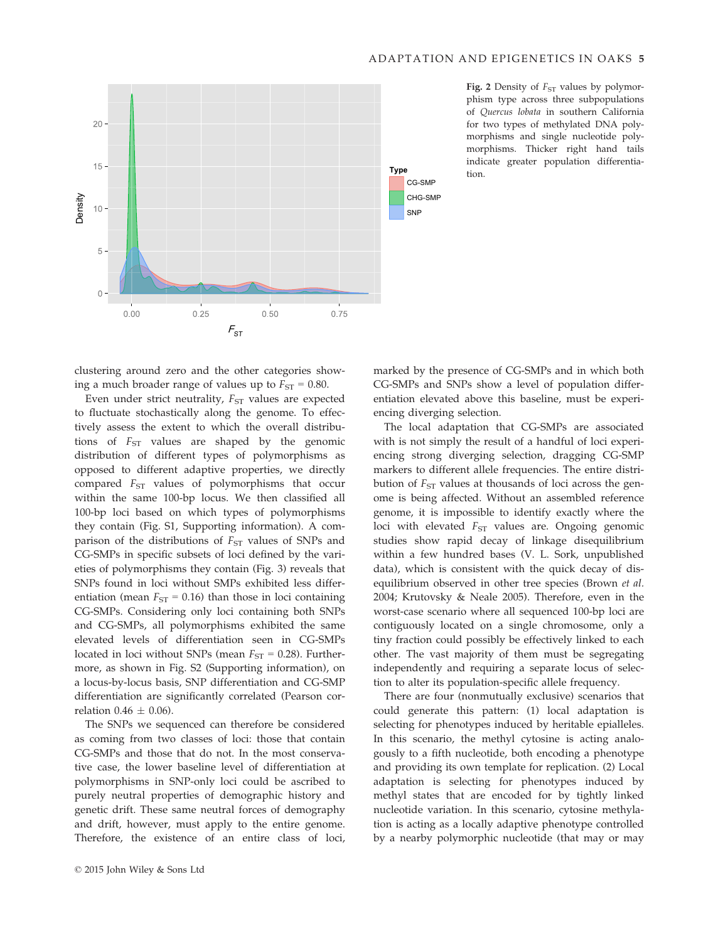

Fig. 2 Density of  $F_{ST}$  values by polymorphism type across three subpopulations of Quercus lobata in southern California for two types of methylated DNA polymorphisms and single nucleotide polymorphisms. Thicker right hand tails indicate greater population differentiation.

clustering around zero and the other categories showing a much broader range of values up to  $F_{ST} = 0.80$ .

Even under strict neutrality,  $F_{ST}$  values are expected to fluctuate stochastically along the genome. To effectively assess the extent to which the overall distributions of  $F_{ST}$  values are shaped by the genomic distribution of different types of polymorphisms as opposed to different adaptive properties, we directly compared  $F_{ST}$  values of polymorphisms that occur within the same 100-bp locus. We then classified all 100-bp loci based on which types of polymorphisms they contain (Fig. S1, Supporting information). A comparison of the distributions of  $F_{ST}$  values of SNPs and CG-SMPs in specific subsets of loci defined by the varieties of polymorphisms they contain (Fig. 3) reveals that SNPs found in loci without SMPs exhibited less differentiation (mean  $F_{ST} = 0.16$ ) than those in loci containing CG-SMPs. Considering only loci containing both SNPs and CG-SMPs, all polymorphisms exhibited the same elevated levels of differentiation seen in CG-SMPs located in loci without SNPs (mean  $F_{ST} = 0.28$ ). Furthermore, as shown in Fig. S2 (Supporting information), on a locus-by-locus basis, SNP differentiation and CG-SMP differentiation are significantly correlated (Pearson correlation  $0.46 \pm 0.06$ ).

The SNPs we sequenced can therefore be considered as coming from two classes of loci: those that contain CG-SMPs and those that do not. In the most conservative case, the lower baseline level of differentiation at polymorphisms in SNP-only loci could be ascribed to purely neutral properties of demographic history and genetic drift. These same neutral forces of demography and drift, however, must apply to the entire genome. Therefore, the existence of an entire class of loci, marked by the presence of CG-SMPs and in which both CG-SMPs and SNPs show a level of population differentiation elevated above this baseline, must be experiencing diverging selection.

The local adaptation that CG-SMPs are associated with is not simply the result of a handful of loci experiencing strong diverging selection, dragging CG-SMP markers to different allele frequencies. The entire distribution of  $F_{ST}$  values at thousands of loci across the genome is being affected. Without an assembled reference genome, it is impossible to identify exactly where the loci with elevated  $F_{ST}$  values are. Ongoing genomic studies show rapid decay of linkage disequilibrium within a few hundred bases (V. L. Sork, unpublished data), which is consistent with the quick decay of disequilibrium observed in other tree species (Brown et al. 2004; Krutovsky & Neale 2005). Therefore, even in the worst-case scenario where all sequenced 100-bp loci are contiguously located on a single chromosome, only a tiny fraction could possibly be effectively linked to each other. The vast majority of them must be segregating independently and requiring a separate locus of selection to alter its population-specific allele frequency.

There are four (nonmutually exclusive) scenarios that could generate this pattern: (1) local adaptation is selecting for phenotypes induced by heritable epialleles. In this scenario, the methyl cytosine is acting analogously to a fifth nucleotide, both encoding a phenotype and providing its own template for replication. (2) Local adaptation is selecting for phenotypes induced by methyl states that are encoded for by tightly linked nucleotide variation. In this scenario, cytosine methylation is acting as a locally adaptive phenotype controlled by a nearby polymorphic nucleotide (that may or may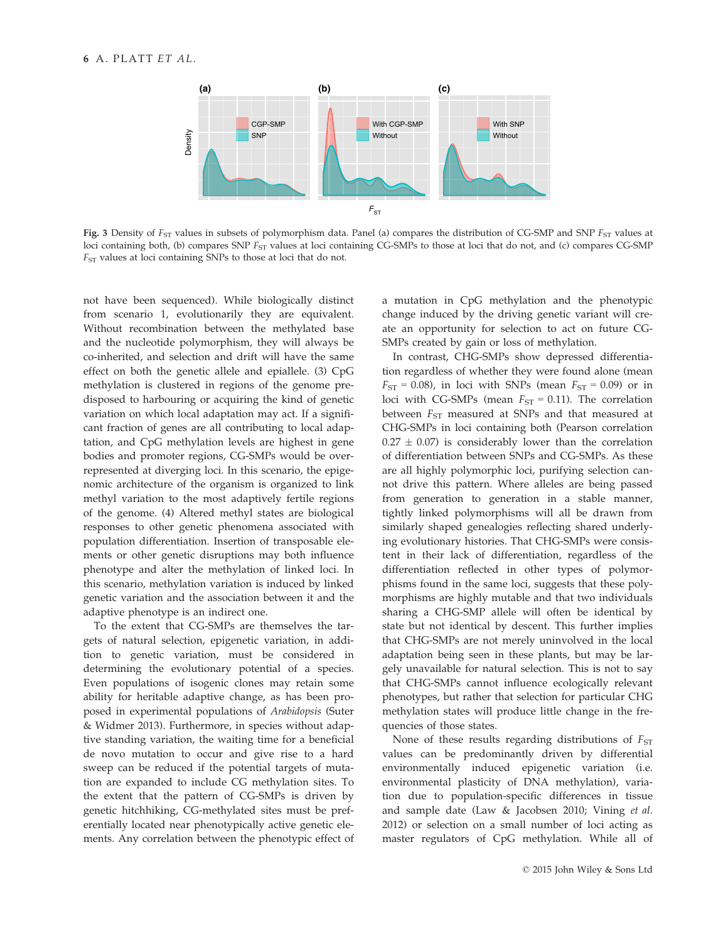

Fig. 3 Density of  $F_{ST}$  values in subsets of polymorphism data. Panel (a) compares the distribution of CG-SMP and SNP  $F_{ST}$  values at loci containing both, (b) compares SNP F<sub>ST</sub> values at loci containing CG-SMPs to those at loci that do not, and (c) compares CG-SMP  $F_{ST}$  values at loci containing SNPs to those at loci that do not.

not have been sequenced). While biologically distinct from scenario 1, evolutionarily they are equivalent. Without recombination between the methylated base and the nucleotide polymorphism, they will always be co-inherited, and selection and drift will have the same effect on both the genetic allele and epiallele. (3) CpG methylation is clustered in regions of the genome predisposed to harbouring or acquiring the kind of genetic variation on which local adaptation may act. If a significant fraction of genes are all contributing to local adaptation, and CpG methylation levels are highest in gene bodies and promoter regions, CG-SMPs would be overrepresented at diverging loci. In this scenario, the epigenomic architecture of the organism is organized to link methyl variation to the most adaptively fertile regions of the genome. (4) Altered methyl states are biological responses to other genetic phenomena associated with population differentiation. Insertion of transposable elements or other genetic disruptions may both influence phenotype and alter the methylation of linked loci. In this scenario, methylation variation is induced by linked genetic variation and the association between it and the adaptive phenotype is an indirect one.

To the extent that CG-SMPs are themselves the targets of natural selection, epigenetic variation, in addition to genetic variation, must be considered in determining the evolutionary potential of a species. Even populations of isogenic clones may retain some ability for heritable adaptive change, as has been proposed in experimental populations of Arabidopsis (Suter & Widmer 2013). Furthermore, in species without adaptive standing variation, the waiting time for a beneficial de novo mutation to occur and give rise to a hard sweep can be reduced if the potential targets of mutation are expanded to include CG methylation sites. To the extent that the pattern of CG-SMPs is driven by genetic hitchhiking, CG-methylated sites must be preferentially located near phenotypically active genetic elements. Any correlation between the phenotypic effect of a mutation in CpG methylation and the phenotypic change induced by the driving genetic variant will create an opportunity for selection to act on future CG-SMPs created by gain or loss of methylation.

In contrast, CHG-SMPs show depressed differentiation regardless of whether they were found alone (mean  $F_{ST} = 0.08$ ), in loci with SNPs (mean  $F_{ST} = 0.09$ ) or in loci with CG-SMPs (mean  $F_{ST} = 0.11$ ). The correlation between  $F_{ST}$  measured at SNPs and that measured at CHG-SMPs in loci containing both (Pearson correlation  $0.27 \pm 0.07$ ) is considerably lower than the correlation of differentiation between SNPs and CG-SMPs. As these are all highly polymorphic loci, purifying selection cannot drive this pattern. Where alleles are being passed from generation to generation in a stable manner, tightly linked polymorphisms will all be drawn from similarly shaped genealogies reflecting shared underlying evolutionary histories. That CHG-SMPs were consistent in their lack of differentiation, regardless of the differentiation reflected in other types of polymorphisms found in the same loci, suggests that these polymorphisms are highly mutable and that two individuals sharing a CHG-SMP allele will often be identical by state but not identical by descent. This further implies that CHG-SMPs are not merely uninvolved in the local adaptation being seen in these plants, but may be largely unavailable for natural selection. This is not to say that CHG-SMPs cannot influence ecologically relevant phenotypes, but rather that selection for particular CHG methylation states will produce little change in the frequencies of those states.

None of these results regarding distributions of  $F_{ST}$ values can be predominantly driven by differential environmentally induced epigenetic variation (i.e. environmental plasticity of DNA methylation), variation due to population-specific differences in tissue and sample date (Law & Jacobsen 2010; Vining et al. 2012) or selection on a small number of loci acting as master regulators of CpG methylation. While all of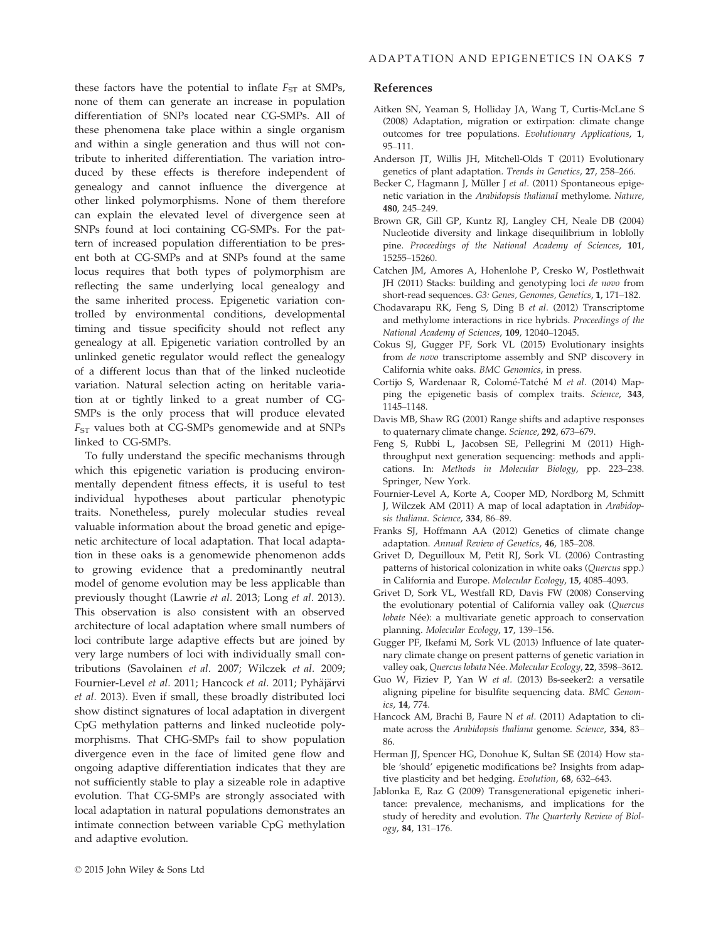these factors have the potential to inflate  $F_{ST}$  at SMPs, none of them can generate an increase in population differentiation of SNPs located near CG-SMPs. All of these phenomena take place within a single organism and within a single generation and thus will not contribute to inherited differentiation. The variation introduced by these effects is therefore independent of genealogy and cannot influence the divergence at other linked polymorphisms. None of them therefore can explain the elevated level of divergence seen at SNPs found at loci containing CG-SMPs. For the pattern of increased population differentiation to be present both at CG-SMPs and at SNPs found at the same locus requires that both types of polymorphism are reflecting the same underlying local genealogy and the same inherited process. Epigenetic variation controlled by environmental conditions, developmental timing and tissue specificity should not reflect any genealogy at all. Epigenetic variation controlled by an unlinked genetic regulator would reflect the genealogy of a different locus than that of the linked nucleotide variation. Natural selection acting on heritable variation at or tightly linked to a great number of CG-SMPs is the only process that will produce elevated  $F_{ST}$  values both at CG-SMPs genomewide and at SNPs linked to CG-SMPs.

To fully understand the specific mechanisms through which this epigenetic variation is producing environmentally dependent fitness effects, it is useful to test individual hypotheses about particular phenotypic traits. Nonetheless, purely molecular studies reveal valuable information about the broad genetic and epigenetic architecture of local adaptation. That local adaptation in these oaks is a genomewide phenomenon adds to growing evidence that a predominantly neutral model of genome evolution may be less applicable than previously thought (Lawrie et al. 2013; Long et al. 2013). This observation is also consistent with an observed architecture of local adaptation where small numbers of loci contribute large adaptive effects but are joined by very large numbers of loci with individually small contributions (Savolainen et al. 2007; Wilczek et al. 2009; Fournier-Level et al. 2011; Hancock et al. 2011; Pyhäjärvi et al. 2013). Even if small, these broadly distributed loci show distinct signatures of local adaptation in divergent CpG methylation patterns and linked nucleotide polymorphisms. That CHG-SMPs fail to show population divergence even in the face of limited gene flow and ongoing adaptive differentiation indicates that they are not sufficiently stable to play a sizeable role in adaptive evolution. That CG-SMPs are strongly associated with local adaptation in natural populations demonstrates an intimate connection between variable CpG methylation and adaptive evolution.

#### References

- Aitken SN, Yeaman S, Holliday JA, Wang T, Curtis-McLane S (2008) Adaptation, migration or extirpation: climate change outcomes for tree populations. Evolutionary Applications, 1, 95–111.
- Anderson JT, Willis JH, Mitchell-Olds T (2011) Evolutionary genetics of plant adaptation. Trends in Genetics, 27, 258–266.
- Becker C, Hagmann J, Müller J et al. (2011) Spontaneous epigenetic variation in the Arabidopsis thalianaI methylome. Nature, 480, 245–249.
- Brown GR, Gill GP, Kuntz RJ, Langley CH, Neale DB (2004) Nucleotide diversity and linkage disequilibrium in loblolly pine. Proceedings of the National Academy of Sciences, 101, 15255–15260.
- Catchen JM, Amores A, Hohenlohe P, Cresko W, Postlethwait JH (2011) Stacks: building and genotyping loci de novo from short-read sequences. G3: Genes, Genomes, Genetics, 1, 171-182.
- Chodavarapu RK, Feng S, Ding B et al. (2012) Transcriptome and methylome interactions in rice hybrids. Proceedings of the National Academy of Sciences, 109, 12040–12045.
- Cokus SJ, Gugger PF, Sork VL (2015) Evolutionary insights from de novo transcriptome assembly and SNP discovery in California white oaks. BMC Genomics, in press.
- Cortijo S, Wardenaar R, Colomé-Tatché M et al. (2014) Mapping the epigenetic basis of complex traits. Science, 343, 1145–1148.
- Davis MB, Shaw RG (2001) Range shifts and adaptive responses to quaternary climate change. Science, 292, 673-679.
- Feng S, Rubbi L, Jacobsen SE, Pellegrini M (2011) Highthroughput next generation sequencing: methods and applications. In: Methods in Molecular Biology, pp. 223–238. Springer, New York.
- Fournier-Level A, Korte A, Cooper MD, Nordborg M, Schmitt J, Wilczek AM (2011) A map of local adaptation in Arabidopsis thaliana. Science, 334, 86–89.
- Franks SJ, Hoffmann AA (2012) Genetics of climate change adaptation. Annual Review of Genetics, 46, 185–208.
- Grivet D, Deguilloux M, Petit RJ, Sork VL (2006) Contrasting patterns of historical colonization in white oaks (Quercus spp.) in California and Europe. Molecular Ecology, 15, 4085–4093.
- Grivet D, Sork VL, Westfall RD, Davis FW (2008) Conserving the evolutionary potential of California valley oak (Quercus lobate Née): a multivariate genetic approach to conservation planning. Molecular Ecology, 17, 139–156.
- Gugger PF, Ikefami M, Sork VL (2013) Influence of late quaternary climate change on present patterns of genetic variation in valley oak, Quercus lobata Née. Molecular Ecology, 22, 3598-3612.
- Guo W, Fiziev P, Yan W et al. (2013) Bs-seeker2: a versatile aligning pipeline for bisulfite sequencing data. BMC Genomics, 14, 774.
- Hancock AM, Brachi B, Faure N et al. (2011) Adaptation to climate across the Arabidopsis thaliana genome. Science, 334, 83– 86.
- Herman JJ, Spencer HG, Donohue K, Sultan SE (2014) How stable 'should' epigenetic modifications be? Insights from adaptive plasticity and bet hedging. Evolution, 68, 632-643.
- Jablonka E, Raz G (2009) Transgenerational epigenetic inheritance: prevalence, mechanisms, and implications for the study of heredity and evolution. The Quarterly Review of Biology, 84, 131–176.